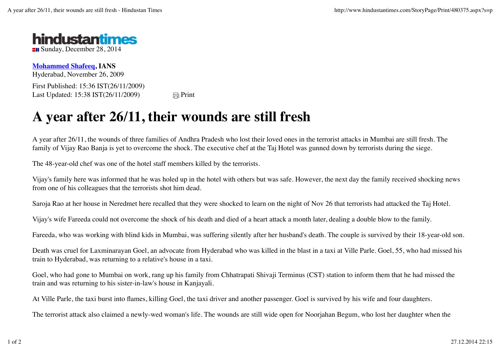

**Mohammed Shafeeq, IANS** Hyderabad, November 26, 2009 First Published: 15:36 IST(26/11/2009) Last Updated:  $15:38 \text{ IST}(26/11/2009)$   $\qquad \qquad \qquad \Box \text{Print}$ 

## **A year after 26/11, their wounds are still fresh**

A year after 26/11, the wounds of three families of Andhra Pradesh who lost their loved ones in the terrorist attacks in Mumbai are still fresh. The family of Vijay Rao Banja is yet to overcome the shock. The executive chef at the Taj Hotel was gunned down by terrorists during the siege.

The 48-year-old chef was one of the hotel staff members killed by the terrorists.

Vijay's family here was informed that he was holed up in the hotel with others but was safe. However, the next day the family received shocking news from one of his colleagues that the terrorists shot him dead.

Saroja Rao at her house in Neredmet here recalled that they were shocked to learn on the night of Nov 26 that terrorists had attacked the Taj Hotel.

Vijay's wife Fareeda could not overcome the shock of his death and died of a heart attack a month later, dealing a double blow to the family.

Fareeda, who was working with blind kids in Mumbai, was suffering silently after her husband's death. The couple is survived by their 18-year-old son.

Death was cruel for Laxminarayan Goel, an advocate from Hyderabad who was killed in the blast in a taxi at Ville Parle. Goel, 55, who had missed his train to Hyderabad, was returning to a relative's house in a taxi.

Goel, who had gone to Mumbai on work, rang up his family from Chhatrapati Shivaji Terminus (CST) station to inform them that he had missed the train and was returning to his sister-in-law's house in Kanjayali.

At Ville Parle, the taxi burst into flames, killing Goel, the taxi driver and another passenger. Goel is survived by his wife and four daughters.

The terrorist attack also claimed a newly-wed woman's life. The wounds are still wide open for Noorjahan Begum, who lost her daughter when the